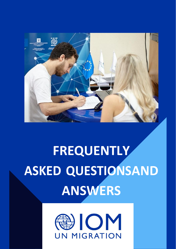

# **FREQUENTLY ASKED QUESTIONSAND ANSWERS**

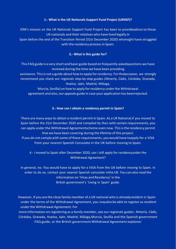#### **1.- What is the UK Nationals Support Fund Project (UKNSF)?**

IOM's mission on the UK Nationals Support Fund Project has been to provideadvice to those UK nationals and their relatives who have lived legally in

Spain before the end of the Transition Period (31st December 2020) whomight have struggled with the residency process in Spain.

#### **2.- What is this guide for?**

This FAQ guide is a very short and basic guide based on frequently askedquestions we have received during the time we have been providing

assistance. This is not a guide about how to apply for residency. For thatpurpose, we strongly recommend you check our regionals step-by-step guides (Almería, Cádiz, Córdoba, Granada, Huelva, Jaén, Madrid, Málaga,

Murcia, Sevilla) on how to apply for residency under the Withdrawal agreement and also, our appeals guide in case your application has beenrejected.

#### **3.- How can I obtain a residency permit in Spain?**

There are many waysto obtain a resident permit in Spain. As a UK National,if you moved to Spain before the 31st December 2020 and complied by then with certain requirements, you can apply underthe Withdrawal Agreementscheme even now. Thisisthe residency permit that we have been covering during the lifetime of this project. If you do not comply with some of these requirements, you would have toapply for a VISA

from your nearest Spanish Consulate in the UK before moving to Spain.

4.- I moved to Spain after December 2020, can I still apply for residencyunder the Withdrawal Agreement?

In general, no. You would have to apply for a VISA from the UK before moving to Spain. In order to do so, contact your nearest Spanish consulate inthe UK. You can also read the information on 'Visas and Residency' in the British government's 'Living in Spain' guide.

However, if you are the close family member of a UK national who is alreadyresident in Spain under the terms of the Withdrawal Agreement, you mayalso be able to register as resident under the Withdrawal Agreement. For

more information on registering as a family member, see our regionals guides: Almería, Cádiz, Córdoba, Granada, Huelva, Jaén, Madrid, Málaga,Murcia, Sevilla and the Spanish government FAQ guide, or the British government Withdrawal Agreement explainer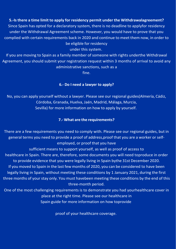**5.-Isthere a time limit to apply for residency permit under the Withdrawalagreement?** Since Spain has opted for a declaratory system, there is no deadline to applyfor residency under the Withdrawal Agreement scheme. However, you would have to prove that you complied with certain requirements back in 2020 and continue to meet them now, in order to be eligible for residency

under this system.

If you are moving to Spain as a family member of someone with rights underthe Withdrawal Agreement, you should submit your registration request within 3 months of arrival to avoid any administrative sanctions, such as a

fine.

#### **6.- Do I need a lawyer to apply?**

No, you can apply yourself without a lawyer. Please see our regional guides(Almería, Cádiz, Córdoba, Granada, Huelva, Jaén, Madrid, Málaga, Murcia, Sevilla) for more information on how to apply by yourself.

# **7.- What are the requirements?**

There are a few requirements you need to comply with. Please see our regional guides, but in general terms you need to provide a proof of address,proof that you are a worker or selfemployed, or proof that you have

sufficient means to support yourself, as well as proof of access to healthcare in Spain. There are, therefore, some documents you will need toproduce in order to provide evidence that you were legally living in Spain bythe 31st December 2020. If you moved to Spain in the last few months of 2020, you can be considered to have been legally living in Spain, without meeting these conditions by 1 January 2021, during the first three months of your stay only. You must havebeen meeting these conditions by the end of this three-month period.

One of the most challenging requirements is to demonstrate you had yourhealthcare cover in place at the right time. Please see our healthcare in Spain guide for more information on how toprovide

proof of your healthcare coverage.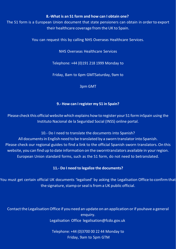#### **8.-What is an S1 form and how can I obtain one?**

The S1 form is a European Union document that state pensioners can obtain in orderto export their healthcare coverage from the UK to Spain.

You can request this by calling NHS Overseas Healthcare Services.

NHS Overseas Healthcare Services

Telephone: +44 (0)191 218 1999 Monday to

Friday, 8am to 6pm GMTSaturday, 9am to

3pm GMT

# **9.- How can Iregister my S1 in Spain?**

Please check this official website which explains how to register your S1 forminSpain using the Instituto Nacional de la Seguridad Social (INSS) online portal.

10.- Do I need to translate the documents into Spanish? All documents in English need to be translated by a sworn translator into Spanish. Please check our regional guides to find a link to the official Spanish sworn translators.On this website, you can find up to date information on the sworntranslators available in your region. European Union standard forms, such as the S1 form, do not need to betranslated.

# **11.- Do I need to legalize the documents?**

You must get certain official UK documents 'legalised' by asking the Legalisation Office to confirm that the signature, stamp or seal is from a UK public official.

Contact the Legalisation Office if you need an update on an application or if youhave a general enquiry. Legalisation Office [legalisation@fcdo.gov.uk](mailto:legalisation@fcdo.gov.uk)

> Telephone: +44 (0)3700 00 22 44 Monday to Friday, 9am to 5pm GTM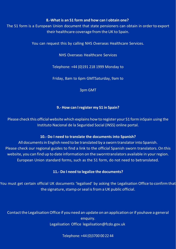#### **8.-What is an S1 form and how can I obtain one?**

The S1 form is a European Union document that state pensioners can obtain in orderto export their healthcare coverage from the UK to Spain.

You can request this by calling NHS Overseas Healthcare Services.

NHS Overseas Healthcare Services

Telephone: +44 (0)191 218 1999 Monday to

Friday, 8am to 6pm GMTSaturday, 9am to

3pm GMT

#### **9.- How can Iregister my S1 in Spain?**

Please check this official website which explains how to register your S1 forminSpain using the Instituto Nacional de la Seguridad Social (INSS) online portal.

#### **10.- Do I need to translate the documents into Spanish?**

All documents in English need to be translated by a sworn translator into Spanish. Please check our regional guides to find a link to the official Spanish sworn translators.On this website, you can find up to date information on the sworntranslators available in your region. European Union standard forms, such as the S1 form, do not need to betranslated.

#### **11.- Do I need to legalize the documents?**

You must get certain official UK documents 'legalised' by asking the Legalisation Office to confirm that the signature, stamp or seal is from a UK public official.

Contact the Legalisation Office if you need an update on an application or if youhave a general enquiry. Legalisation Office [legalisation@fcdo.gov.uk](mailto:legalisation@fcdo.gov.uk)

Telephone: +44 (0)3700 00 22 44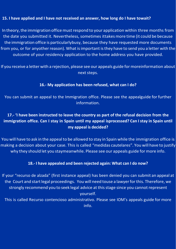# **15. I have applied and I have not received an answer, how long do I have towait?**

In theory, the immigration office must respond to your application within three months from the date you submitted it. Nevertheless, sometimes ittakesmore time (it could be because the immigration office is particularlybusy, because they have requested more documents from you, or for anyother reason). What is important is they have to send you a letter with the outcome of your residency application to the home address you have provided.

If you receive a letter with a rejection, please see our appeals guide for moreinformation about next steps.

# **16.- My application has been refused, what can I do?**

You can submit an appeal to the Immigration office. Please see the appealguide for further information.

# **17.- 'I have been instructed to leave the country as part of the refusal decision from the immigration office. Can I stay in Spain until my appeal isprocessed? Can Istay in Spain until my appeal is decided?**

You will have to ask in the appeal to be allowed to stay in Spain while the immigration office is making a decision about your case. This is called "medidas cautelares". You will have to justify why they should let you staymeanwhile. Please see our appeals guide for more info.

# **18.- I have appealed and been rejected again: What can I do now?**

If your "recurso de alzada" (first instance appeal) has been denied you can submit an appeal at the Court and start legal proceedings. You will need touse a lawyer for this. Therefore, we strongly recommend you to seek legal advice at this stage since you cannot represent yourself.

This is called Recurso contencioso administrativo. Please see IOM's appeals guide for more info.